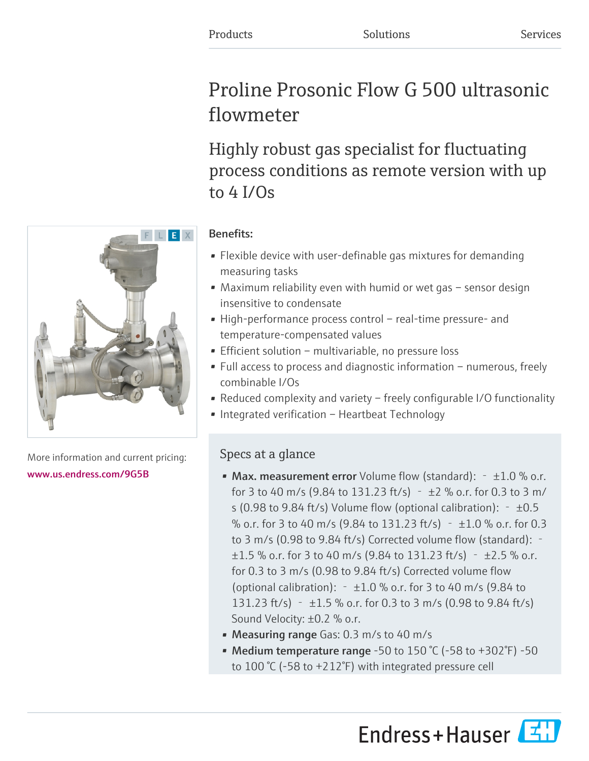# Proline Prosonic Flow G 500 ultrasonic flowmeter

Highly robust gas specialist for fluctuating process conditions as remote version with up to 4 I/Os

# Benefits:

- Flexible device with user-definable gas mixtures for demanding measuring tasks
- Maximum reliability even with humid or wet gas sensor design insensitive to condensate
- High-performance process control real-time pressure- and temperature-compensated values
- Efficient solution multivariable, no pressure loss
- Full access to process and diagnostic information numerous, freely combinable I/Os
- Reduced complexity and variety freely configurable I/O functionality
- Integrated verification Heartbeat Technology

# Specs at a glance

- Max. measurement error Volume flow (standard):  $-1.0$  % o.r. for 3 to 40 m/s (9.84 to 131.23 ft/s) –  $\pm$ 2 % o.r. for 0.3 to 3 m/ s (0.98 to 9.84 ft/s) Volume flow (optional calibration):  $\pm$ 0.5 % o.r. for 3 to 40 m/s (9.84 to 131.23 ft/s)  $\pm$ 1.0 % o.r. for 0.3 to 3 m/s (0.98 to 9.84 ft/s) Corrected volume flow (standard): ‐  $\pm 1.5$  % o.r. for 3 to 40 m/s (9.84 to 131.23 ft/s)  $\pm 2.5$  % o.r. for 0.3 to 3 m/s (0.98 to 9.84 ft/s) Corrected volume flow (optional calibration):  $\pm$ 1.0 % o.r. for 3 to 40 m/s (9.84 to 131.23 ft/s) –  $\pm 1.5$  % o.r. for 0.3 to 3 m/s (0.98 to 9.84 ft/s) Sound Velocity: ±0.2 % o.r.
- Measuring range Gas: 0.3 m/s to 40 m/s
- Medium temperature range -50 to 150 °C (-58 to +302 °F) -50 to 100 °C (-58 to +212°F) with integrated pressure cell





More information and current pricing: [www.us.endress.com/9G5B](https://www.us.endress.com/9G5B)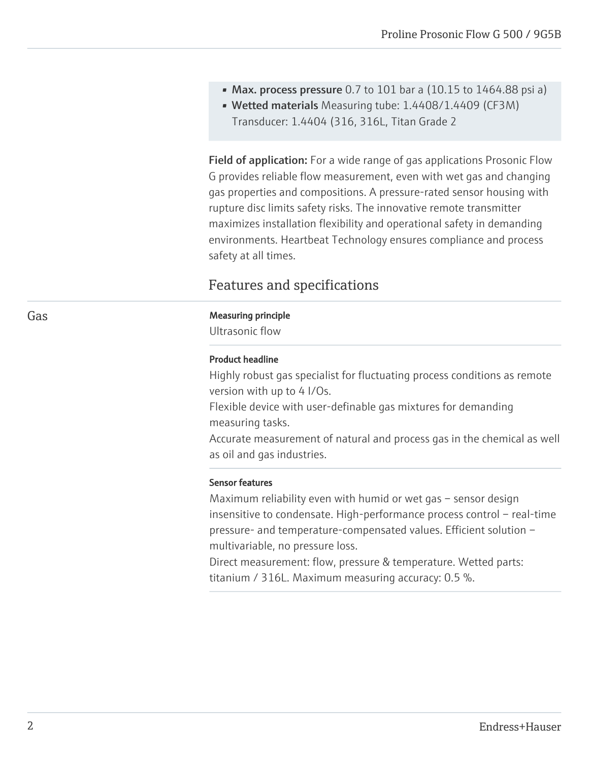- Max. process pressure 0.7 to 101 bar a (10.15 to 1464.88 psi a)
- Wetted materials Measuring tube: 1.4408/1.4409 (CF3M) Transducer: 1.4404 (316, 316L, Titan Grade 2

Field of application: For a wide range of gas applications Prosonic Flow G provides reliable flow measurement, even with wet gas and changing gas properties and compositions. A pressure-rated sensor housing with rupture disc limits safety risks. The innovative remote transmitter maximizes installation flexibility and operational safety in demanding environments. Heartbeat Technology ensures compliance and process safety at all times.

# Features and specifications

# Gas **Gas** Measuring principle

Ultrasonic flow

# Product headline

Highly robust gas specialist for fluctuating process conditions as remote version with up to 4 I/Os.

Flexible device with user-definable gas mixtures for demanding measuring tasks.

Accurate measurement of natural and process gas in the chemical as well as oil and gas industries.

# Sensor features

Maximum reliability even with humid or wet gas – sensor design insensitive to condensate. High-performance process control – real-time pressure- and temperature-compensated values. Efficient solution – multivariable, no pressure loss.

Direct measurement: flow, pressure & temperature. Wetted parts: titanium / 316L. Maximum measuring accuracy: 0.5 %.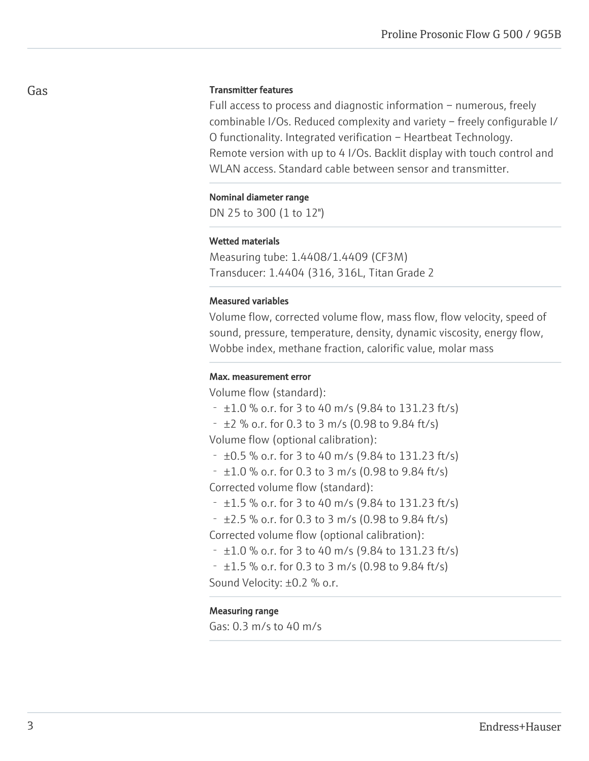# Transmitter features

Full access to process and diagnostic information – numerous, freely combinable I/Os. Reduced complexity and variety – freely configurable I/ O functionality. Integrated verification – Heartbeat Technology. Remote version with up to 4 I/Os. Backlit display with touch control and WLAN access. Standard cable between sensor and transmitter.

#### Nominal diameter range

DN 25 to 300 (1 to 12")

### Wetted materials

Measuring tube: 1.4408/1.4409 (CF3M) Transducer: 1.4404 (316, 316L, Titan Grade 2

### Measured variables

Volume flow, corrected volume flow, mass flow, flow velocity, speed of sound, pressure, temperature, density, dynamic viscosity, energy flow, Wobbe index, methane fraction, calorific value, molar mass

# Max. measurement error

Volume flow (standard):

- $\pm$ 1.0 % o.r. for 3 to 40 m/s (9.84 to 131.23 ft/s)
- $\pm$ 2 % o.r. for 0.3 to 3 m/s (0.98 to 9.84 ft/s)

Volume flow (optional calibration):

- $\pm 0.5$  % o.r. for 3 to 40 m/s (9.84 to 131.23 ft/s)
- $\pm$ 1.0 % o.r. for 0.3 to 3 m/s (0.98 to 9.84 ft/s)

Corrected volume flow (standard):

- $\pm$ 1.5 % o.r. for 3 to 40 m/s (9.84 to 131.23 ft/s)
- $-$  ±2.5 % o.r. for 0.3 to 3 m/s (0.98 to 9.84 ft/s)

Corrected volume flow (optional calibration):

- $\pm$ 1.0 % o.r. for 3 to 40 m/s (9.84 to 131.23 ft/s)
- $\pm$ 1.5 % o.r. for 0.3 to 3 m/s (0.98 to 9.84 ft/s)

Sound Velocity: ±0.2 % o.r.

# Measuring range

Gas: 0.3 m/s to 40 m/s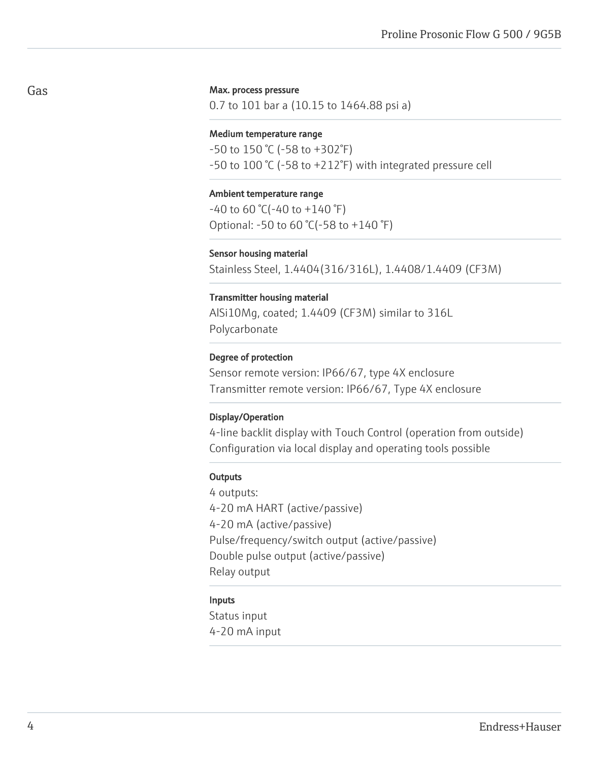#### Max. process pressure

0.7 to 101 bar a (10.15 to 1464.88 psi a)

#### Medium temperature range

-50 to 150 °C (-58 to +302°F) -50 to 100 °C (-58 to +212°F) with integrated pressure cell

#### Ambient temperature range

 $-40$  to 60 °C( $-40$  to  $+140$  °F) Optional: -50 to 60 °C(-58 to +140 °F)

#### Sensor housing material

Stainless Steel, 1.4404(316/316L), 1.4408/1.4409 (CF3M)

#### Transmitter housing material

AlSi10Mg, coated; 1.4409 (CF3M) similar to 316L Polycarbonate

#### Degree of protection

Sensor remote version: IP66/67, type 4X enclosure Transmitter remote version: IP66/67, Type 4X enclosure

#### Display/Operation

4-line backlit display with Touch Control (operation from outside) Configuration via local display and operating tools possible

#### **Outputs**

4 outputs: 4-20 mA HART (active/passive) 4-20 mA (active/passive) Pulse/frequency/switch output (active/passive) Double pulse output (active/passive) Relay output

# Inputs

Status input 4-20 mA input